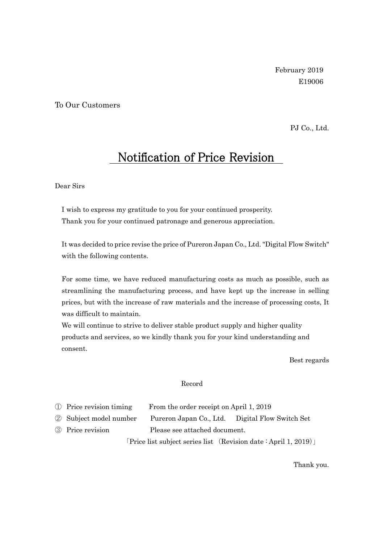## To Our Customers

PJ Co., Ltd.

## Notification of Price Revision

## Dear Sirs

I wish to express my gratitude to you for your continued prosperity. Thank you for your continued patronage and generous appreciation.

It was decided to price revise the price of Pureron Japan Co., Ltd. "Digital Flow Switch" with the following contents.

For some time, we have reduced manufacturing costs as much as possible, such as streamlining the manufacturing process, and have kept up the increase in selling prices, but with the increase of raw materials and the increase of processing costs, It was difficult to maintain.

We will continue to strive to deliver stable product supply and higher quality products and services, so we kindly thank you for your kind understanding and consent.

Best regards

## Record

| 1) Price revision timing | From the order receipt on April 1, 2019 |
|--------------------------|-----------------------------------------|
|--------------------------|-----------------------------------------|

② Subject model number Pureron Japan Co., Ltd. Digital Flow Switch Set

③ Price revision Please see attached document.

「Price list subject series list (Revision date : April 1, 2019)」

Thank you.